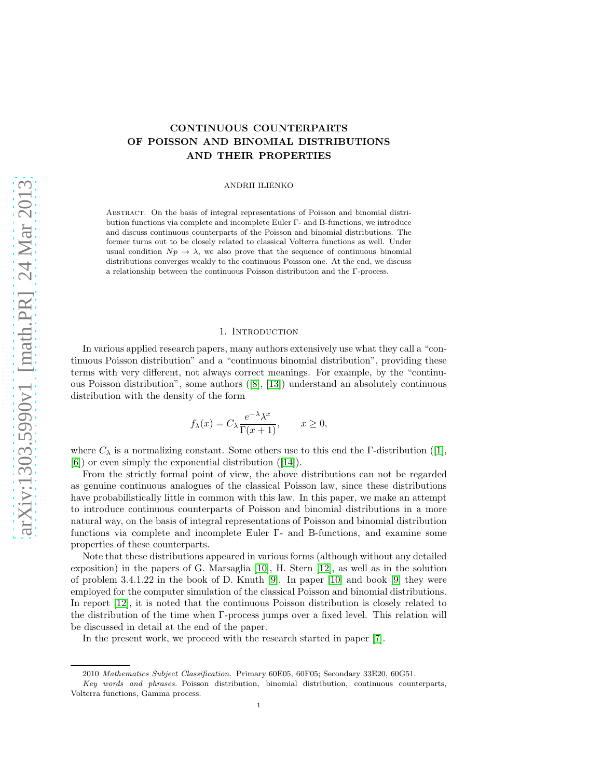# CONTINUOUS COUNTERPARTS OF POISSON AND BINOMIAL DISTRIBUTIONS AND THEIR PROPERTIES

ANDRII ILIENKO

Abstract. On the basis of integral representations of Poisson and binomial distribution functions via complete and incomplete Euler Γ- and B-functions, we introduce and discuss continuous counterparts of the Poisson and binomial distributions. The former turns out to be closely related to classical Volterra functions as well. Under usual condition  $Np \to \lambda$ , we also prove that the sequence of continuous binomial distributions converges weakly to the continuous Poisson one. At the end, we discuss a relationship between the continuous Poisson distribution and the Γ-process.

### 1. INTRODUCTION

In various applied research papers, many authors extensively use what they call a "continuous Poisson distribution" and a "continuous binomial distribution", providing these terms with very different, not always correct meanings. For example, by the "continuous Poisson distribution", some authors([\[8\]](#page-6-0), [\[13\]](#page-6-1)) understand an absolutely continuous distribution with the density of the form

$$
f_{\lambda}(x) = C_{\lambda} \frac{e^{-\lambda} \lambda^{x}}{\Gamma(x+1)}, \qquad x \ge 0,
$$

where $C_{\lambda}$  is a normalizing constant. Some others use to this end the Γ-distribution ([\[1\]](#page-6-2), [\[6\]](#page-6-3)) or even simply the exponential distribution([\[14\]](#page-6-4)).

From the strictly formal point of view, the above distributions can not be regarded as genuine continuous analogues of the classical Poisson law, since these distributions have probabilistically little in common with this law. In this paper, we make an attempt to introduce continuous counterparts of Poisson and binomial distributions in a more natural way, on the basis of integral representations of Poisson and binomial distribution functions via complete and incomplete Euler Γ- and B-functions, and examine some properties of these counterparts.

Note that these distributions appeared in various forms (although without any detailed exposition) in the papers of G. Marsaglia [\[10\]](#page-6-5), H. Stern [\[12\]](#page-6-6), as well as in the solution of problem 3.4.1.22 in the book of D. Knuth [\[9\]](#page-6-7). In paper [\[10\]](#page-6-5) and book [\[9\]](#page-6-7) they were employed for the computer simulation of the classical Poisson and binomial distributions. In report [\[12\]](#page-6-6), it is noted that the continuous Poisson distribution is closely related to the distribution of the time when Γ-process jumps over a fixed level. This relation will be discussed in detail at the end of the paper.

In the present work, we proceed with the research started in paper [\[7\]](#page-6-8).

<sup>2010</sup> Mathematics Subject Classification. Primary 60E05, 60F05; Secondary 33E20, 60G51.

Key words and phrases. Poisson distribution, binomial distribution, continuous counterparts, Volterra functions, Gamma process.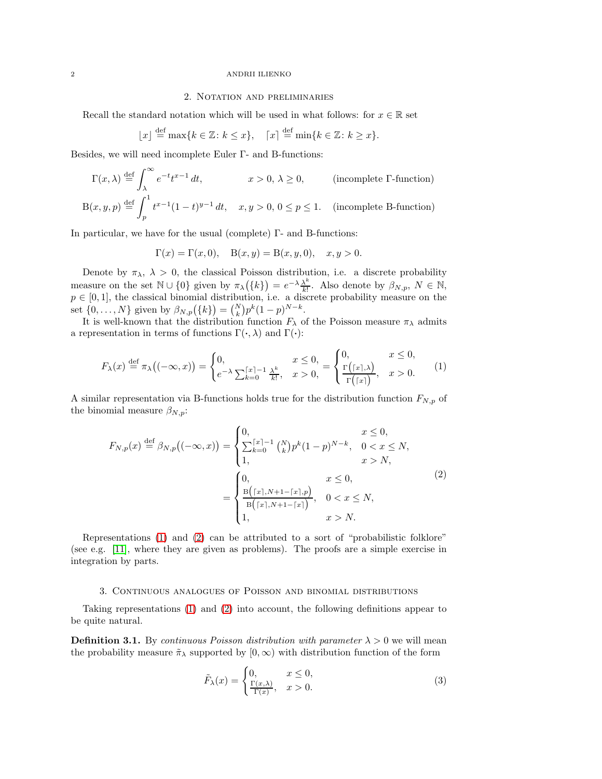#### 2 ANDRII ILIENKO

# 2. Notation and preliminaries

Recall the standard notation which will be used in what follows: for  $x \in \mathbb{R}$  set

$$
\lfloor x \rfloor \stackrel{\text{def}}{=} \max\{k \in \mathbb{Z} \colon k \le x\}, \quad \lceil x \rceil \stackrel{\text{def}}{=} \min\{k \in \mathbb{Z} \colon k \ge x\}.
$$

Besides, we will need incomplete Euler Γ- and B-functions:

$$
\Gamma(x,\lambda) \stackrel{\text{def}}{=} \int_{\lambda}^{\infty} e^{-t} t^{x-1} dt, \qquad x > 0, \lambda \ge 0,
$$
 (incomplete  $\Gamma$ -function)  

$$
B(x,y,p) \stackrel{\text{def}}{=} \int_{p}^{1} t^{x-1} (1-t)^{y-1} dt, \quad x, y > 0, 0 \le p \le 1.
$$
 (incomplete B-function)

In particular, we have for the usual (complete) Γ- and B-functions:

 $\Gamma(x) = \Gamma(x, 0), \quad B(x, y) = B(x, y, 0), \quad x, y > 0.$ 

Denote by  $\pi_{\lambda}$ ,  $\lambda > 0$ , the classical Poisson distribution, i.e. a discrete probability measure on the set  $\mathbb{N} \cup \{0\}$  given by  $\pi_{\lambda}(\{k\}) = e^{-\lambda} \frac{\lambda^k}{k!}$  $\frac{\lambda^k}{k!}$ . Also denote by  $\beta_{N,p}, N \in \mathbb{N}$ ,  $p \in [0,1]$ , the classical binomial distribution, i.e. a discrete probability measure on the set  $\{0, ..., N\}$  given by  $\beta_{N,p}(\{k\}) = {N \choose k} p^k (1-p)^{N-k}$ .

It is well-known that the distribution function  $F_{\lambda}$  of the Poisson measure  $\pi_{\lambda}$  admits a representation in terms of functions  $\Gamma(\cdot, \lambda)$  and  $\Gamma(\cdot)$ :

<span id="page-1-0"></span>
$$
F_{\lambda}(x) \stackrel{\text{def}}{=} \pi_{\lambda}\big((-\infty, x)\big) = \begin{cases} 0, & x \leq 0, \\ e^{-\lambda} \sum_{k=0}^{\lceil x \rceil - 1} \frac{\lambda^k}{k!}, & x > 0, \end{cases} = \begin{cases} 0, & x \leq 0, \\ \frac{\Gamma\big(\lceil x \rceil, \lambda\big)}{\Gamma\big(\lceil x \rceil\big)}, & x > 0. \end{cases} \tag{1}
$$

A similar representation via B-functions holds true for the distribution function  $F_{N,p}$  of the binomial measure  $\beta_{N,p}$ :

<span id="page-1-1"></span>
$$
F_{N,p}(x) \stackrel{\text{def}}{=} \beta_{N,p}((-\infty, x)) = \begin{cases} 0, & x \le 0, \\ \sum_{k=0}^{\lceil x \rceil - 1} {N \choose k} p^k (1-p)^{N-k}, & 0 < x \le N, \\ 1, & x > N, \\ \frac{B(\lceil x \rceil, N+1-\lceil x \rceil, p)}{B(\lceil x \rceil, N+1-\lceil x \rceil)}, & 0 < x \le N, \\ 1, & x > N. \end{cases} \tag{2}
$$

Representations [\(1\)](#page-1-0) and [\(2\)](#page-1-1) can be attributed to a sort of "probabilistic folklore" (see e.g. [\[11\]](#page-6-9), where they are given as problems). The proofs are a simple exercise in integration by parts.

#### 3. Continuous analogues of Poisson and binomial distributions

Taking representations [\(1\)](#page-1-0) and [\(2\)](#page-1-1) into account, the following definitions appear to be quite natural.

<span id="page-1-2"></span>**Definition 3.1.** By *continuous Poisson distribution with parameter*  $\lambda > 0$  we will mean the probability measure  $\tilde{\pi}_{\lambda}$  supported by  $[0, \infty)$  with distribution function of the form

<span id="page-1-3"></span>
$$
\tilde{F}_{\lambda}(x) = \begin{cases} 0, & x \le 0, \\ \frac{\Gamma(x,\lambda)}{\Gamma(x)}, & x > 0. \end{cases}
$$
\n(3)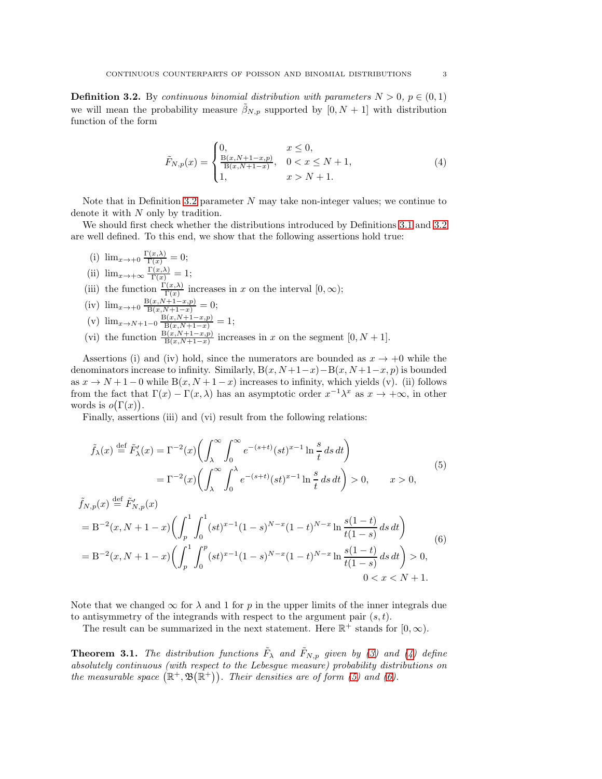<span id="page-2-0"></span>**Definition 3.2.** By continuous binomial distribution with parameters  $N > 0$ ,  $p \in (0, 1)$ we will mean the probability measure  $\beta_{N,p}$  supported by  $[0, N + 1]$  with distribution function of the form

<span id="page-2-1"></span>
$$
\tilde{F}_{N,p}(x) = \begin{cases}\n0, & x \le 0, \\
\frac{\mathbf{B}(x, N+1-x, p)}{\mathbf{B}(x, N+1-x)}, & 0 < x \le N+1, \\
1, & x > N+1.\n\end{cases}
$$
\n(4)

Note that in Definition [3.2](#page-2-0) parameter  $N$  may take non-integer values; we continue to denote it with N only by tradition.

We should first check whether the distributions introduced by Definitions [3.1](#page-1-2) and [3.2](#page-2-0) are well defined. To this end, we show that the following assertions hold true:

- (i)  $\lim_{x\to+0} \frac{\Gamma(x,\lambda)}{\Gamma(x)} = 0;$
- (ii)  $\lim_{x \to +\infty} \frac{\Gamma(x,\lambda)}{\Gamma(x)} = 1;$
- (iii) the function  $\frac{\Gamma(x,\lambda)}{\Gamma(x)}$  increases in x on the interval  $[0,\infty)$ ;
- (iv)  $\lim_{x \to +0} \frac{B(x,N+1-x,p)}{B(x,N+1-x)} = 0;$
- (v)  $\lim_{x \to N+1-0} \frac{B(x, N+1-x, p)}{B(x, N+1-x)} = 1;$
- (vi) the function  $\frac{B(x,N+1-x,p)}{B(x,N+1-x)}$  increases in x on the segment  $[0, N+1]$ .

Assertions (i) and (iv) hold, since the numerators are bounded as  $x \to +0$  while the denominators increase to infinity. Similarly,  $B(x, N+1-x) - B(x, N+1-x, p)$  is bounded as  $x \to N+1-0$  while  $B(x, N+1-x)$  increases to infinity, which yields (v). (ii) follows from the fact that  $\Gamma(x) - \Gamma(x, \lambda)$  has an asymptotic order  $x^{-1}\lambda^x$  as  $x \to +\infty$ , in other words is  $o(\Gamma(x))$ .

Finally, assertions (iii) and (vi) result from the following relations:

<span id="page-2-2"></span>
$$
\tilde{f}_{\lambda}(x) \stackrel{\text{def}}{=} \tilde{F}'_{\lambda}(x) = \Gamma^{-2}(x) \left( \int_{\lambda}^{\infty} \int_{0}^{\infty} e^{-(s+t)} (st)^{x-1} \ln \frac{s}{t} ds dt \right)
$$
\n
$$
= \Gamma^{-2}(x) \left( \int_{\lambda}^{\infty} \int_{0}^{\lambda} e^{-(s+t)} (st)^{x-1} \ln \frac{s}{t} ds dt \right) > 0, \qquad x > 0,
$$
\n(5)

<span id="page-2-3"></span>
$$
\tilde{f}_{N,p}(x) \stackrel{\text{def}}{=} \tilde{F}'_{N,p}(x)
$$
\n
$$
= B^{-2}(x, N+1-x) \left( \int_{p}^{1} \int_{0}^{1} (st)^{x-1} (1-s)^{N-x} (1-t)^{N-x} \ln \frac{s(1-t)}{t(1-s)} ds dt \right)
$$
\n
$$
= B^{-2}(x, N+1-x) \left( \int_{p}^{1} \int_{0}^{p} (st)^{x-1} (1-s)^{N-x} (1-t)^{N-x} \ln \frac{s(1-t)}{t(1-s)} ds dt \right) > 0,
$$
\n
$$
0 < x < N+1.
$$
\n(6)

Note that we changed  $\infty$  for  $\lambda$  and 1 for p in the upper limits of the inner integrals due to antisymmetry of the integrands with respect to the argument pair  $(s, t)$ .

The result can be summarized in the next statement. Here  $\mathbb{R}^+$  stands for  $[0, \infty)$ .

**Theorem 3.1.** The distribution functions  $\tilde{F}_{\lambda}$  and  $\tilde{F}_{N,p}$  given by [\(3\)](#page-1-3) and [\(4\)](#page-2-1) define absolutely continuous (with respect to the Lebesgue measure) probability distributions on the measurable space  $(\mathbb{R}^+, \mathfrak{B}(\mathbb{R}^+))$ . Their densities are of form [\(5\)](#page-2-2) and [\(6\)](#page-2-3).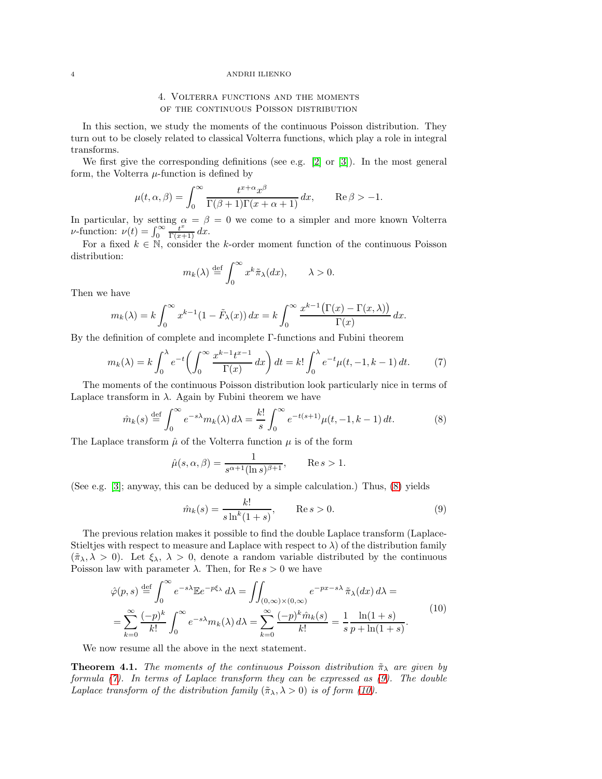### 4 ANDRII ILIENKO

# 4. Volterra functions and the moments of the continuous Poisson distribution

In this section, we study the moments of the continuous Poisson distribution. They turn out to be closely related to classical Volterra functions, which play a role in integral transforms.

We first give the corresponding definitions (see e.g. [\[2\]](#page-6-10) or [\[3\]](#page-6-11)). In the most general form, the Volterra  $\mu$ -function is defined by

$$
\mu(t, \alpha, \beta) = \int_0^\infty \frac{t^{x+\alpha} x^\beta}{\Gamma(\beta+1)\Gamma(x+\alpha+1)} dx, \quad \text{Re}\,\beta > -1.
$$

In particular, by setting  $\alpha = \beta = 0$  we come to a simpler and more known Volterra *ν*-function:  $\nu(t) = \int_0^\infty \frac{t^x}{\Gamma(x+1)} dx$ .

For a fixed  $k \in \mathbb{N}$ , consider the k-order moment function of the continuous Poisson distribution:

$$
m_k(\lambda) \stackrel{\text{def}}{=} \int_0^\infty x^k \tilde{\pi}_\lambda(dx), \qquad \lambda > 0.
$$

Then we have

$$
m_k(\lambda) = k \int_0^\infty x^{k-1} (1 - \tilde{F}_{\lambda}(x)) dx = k \int_0^\infty \frac{x^{k-1} (\Gamma(x) - \Gamma(x, \lambda))}{\Gamma(x)} dx.
$$

By the definition of complete and incomplete Γ-functions and Fubini theorem

<span id="page-3-1"></span>
$$
m_k(\lambda) = k \int_0^{\lambda} e^{-t} \left( \int_0^{\infty} \frac{x^{k-1} t^{x-1}}{\Gamma(x)} dx \right) dt = k! \int_0^{\lambda} e^{-t} \mu(t, -1, k-1) dt. \tag{7}
$$

The moments of the continuous Poisson distribution look particularly nice in terms of Laplace transform in  $\lambda$ . Again by Fubini theorem we have

<span id="page-3-0"></span>
$$
\hat{m}_k(s) \stackrel{\text{def}}{=} \int_0^\infty e^{-s\lambda} m_k(\lambda) d\lambda = \frac{k!}{s} \int_0^\infty e^{-t(s+1)} \mu(t, -1, k-1) dt. \tag{8}
$$

The Laplace transform  $\hat{\mu}$  of the Volterra function  $\mu$  is of the form

$$
\hat{\mu}(s,\alpha,\beta) = \frac{1}{s^{\alpha+1}(\ln s)^{\beta+1}}, \qquad \text{Re}\, s > 1.
$$

(See e.g. [\[3\]](#page-6-11); anyway, this can be deduced by a simple calculation.) Thus, [\(8\)](#page-3-0) yields

<span id="page-3-2"></span>
$$
\hat{m}_k(s) = \frac{k!}{s \ln^k (1+s)}, \qquad \text{Re}\, s > 0. \tag{9}
$$

The previous relation makes it possible to find the double Laplace transform (Laplace-Stieltjes with respect to measure and Laplace with respect to  $\lambda$ ) of the distribution family  $(\tilde{\pi}_{\lambda}, \lambda > 0)$ . Let  $\xi_{\lambda}, \lambda > 0$ , denote a random variable distributed by the continuous Poisson law with parameter  $\lambda$ . Then, for Re  $s > 0$  we have

<span id="page-3-3"></span>
$$
\hat{\varphi}(p,s) \stackrel{\text{def}}{=} \int_0^\infty e^{-s\lambda} \mathbb{E} e^{-p\xi_\lambda} d\lambda = \iint_{(0,\infty)\times(0,\infty)} e^{-px-s\lambda} \tilde{\pi}_\lambda(dx) d\lambda =
$$
\n
$$
= \sum_{k=0}^\infty \frac{(-p)^k}{k!} \int_0^\infty e^{-s\lambda} m_k(\lambda) d\lambda = \sum_{k=0}^\infty \frac{(-p)^k \hat{m}_k(s)}{k!} = \frac{1}{s} \frac{\ln(1+s)}{p + \ln(1+s)}.
$$
\n(10)

We now resume all the above in the next statement.

**Theorem 4.1.** The moments of the continuous Poisson distribution  $\tilde{\pi}_{\lambda}$  are given by formula [\(7\)](#page-3-1). In terms of Laplace transform they can be expressed as [\(9\)](#page-3-2). The double Laplace transform of the distribution family  $(\tilde{\pi}_{\lambda}, \lambda > 0)$  is of form [\(10\)](#page-3-3).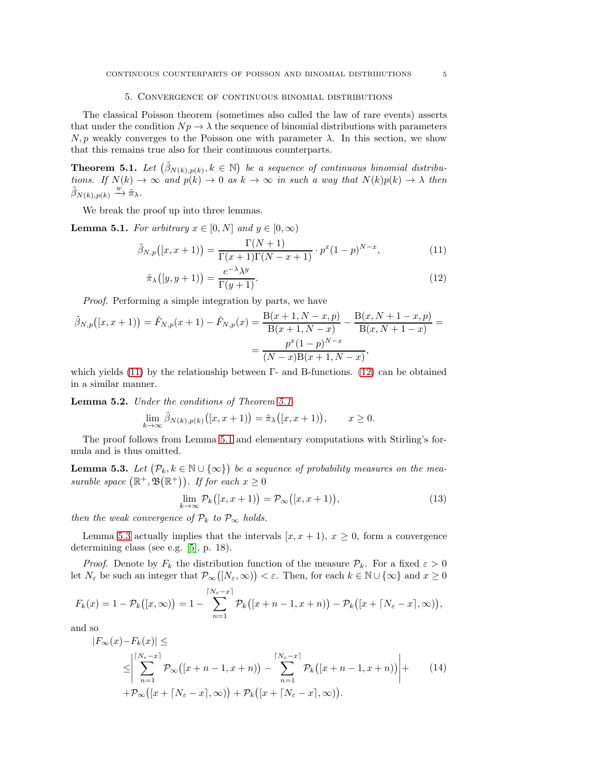### 5. Convergence of continuous binomial distributions

The classical Poisson theorem (sometimes also called the law of rare events) asserts that under the condition  $N_p \to \lambda$  the sequence of binomial distributions with parameters  $N, p$  weakly converges to the Poisson one with parameter  $\lambda$ . In this section, we show that this remains true also for their continuous counterparts.

<span id="page-4-2"></span>**Theorem 5.1.** Let  $(\tilde{\beta}_{N(k),p(k)}, k \in \mathbb{N})$  be a sequence of continuous binomial distributions. If  $N(k) \to \infty$  and  $p(k) \to 0$  as  $k \to \infty$  in such a way that  $N(k)p(k) \to \lambda$  then  $\tilde{\beta}_{N(k),p(k)} \stackrel{w}{\rightarrow} \tilde{\pi}_{\lambda}.$ 

We break the proof up into three lemmas.

<span id="page-4-3"></span>**Lemma 5.1.** For arbitrary  $x \in [0, N]$  and  $y \in [0, \infty)$ 

$$
\tilde{\beta}_{N,p}([x,x+1)) = \frac{\Gamma(N+1)}{\Gamma(x+1)\Gamma(N-x+1)} \cdot p^x (1-p)^{N-x},\tag{11}
$$

<span id="page-4-1"></span><span id="page-4-0"></span>
$$
\tilde{\pi}_{\lambda}\big([y, y+1)\big) = \frac{e^{-\lambda}\lambda^y}{\Gamma(y+1)}.\tag{12}
$$

Proof. Performing a simple integration by parts, we have

$$
\tilde{\beta}_{N,p}([x,x+1)) = \tilde{F}_{N,p}(x+1) - \tilde{F}_{N,p}(x) = \frac{B(x+1, N-x, p)}{B(x+1, N-x)} - \frac{B(x, N+1-x, p)}{B(x, N+1-x)} = \frac{p^x(1-p)^{N-x}}{(N-x)B(x+1, N-x)},
$$

which yields  $(11)$  by the relationship between Γ- and B-functions.  $(12)$  can be obtained in a similar manner.

<span id="page-4-7"></span>Lemma 5.2. Under the conditions of Theorem [5.1](#page-4-2)

$$
\lim_{k \to \infty} \tilde{\beta}_{N(k),p(k)}([x,x+1)) = \tilde{\pi}_{\lambda}([x,x+1)), \qquad x \ge 0.
$$

The proof follows from Lemma [5.1](#page-4-3) and elementary computations with Stirling's formula and is thus omitted.

<span id="page-4-4"></span>**Lemma 5.3.** Let  $(\mathcal{P}_k, k \in \mathbb{N} \cup \{\infty\})$  be a sequence of probability measures on the measurable space  $(\mathbb{R}^+, \mathfrak{B}(\mathbb{R}^+))$ . If for each  $x \geq 0$ 

<span id="page-4-6"></span>
$$
\lim_{k \to \infty} \mathcal{P}_k([x, x+1)) = \mathcal{P}_\infty([x, x+1)),\tag{13}
$$

then the weak convergence of  $\mathcal{P}_k$  to  $\mathcal{P}_\infty$  holds.

Lemma [5.3](#page-4-4) actually implies that the intervals  $[x, x + 1], x \ge 0$ , form a convergence determining class (see e.g. [\[5\]](#page-6-12), p. 18).

*Proof.* Denote by  $F_k$  the distribution function of the measure  $\mathcal{P}_k$ . For a fixed  $\varepsilon > 0$ let  $N_{\varepsilon}$  be such an integer that  $\mathcal{P}_{\infty}([N_{\varepsilon}, \infty)) < \varepsilon$ . Then, for each  $k \in \mathbb{N} \cup \{\infty\}$  and  $x \geq 0$ 

$$
F_k(x) = 1 - \mathcal{P}_k([x,\infty)) = 1 - \sum_{n=1}^{\lceil N_{\varepsilon} - x \rceil} \mathcal{P}_k([x+n-1,x+n)) - \mathcal{P}_k([x+\lceil N_{\varepsilon} - x \rceil,\infty)),
$$

and so

<span id="page-4-5"></span>
$$
|F_{\infty}(x) - F_k(x)| \le
$$
  
\n
$$
\leq \left| \sum_{n=1}^{\lceil N_{\varepsilon} - x \rceil} \mathcal{P}_{\infty}([x + n - 1, x + n)) - \sum_{n=1}^{\lceil N_{\varepsilon} - x \rceil} \mathcal{P}_k([x + n - 1, x + n)) \right| +
$$
 (14)  
\n
$$
+ \mathcal{P}_{\infty}([x + \lceil N_{\varepsilon} - x \rceil, \infty)) + \mathcal{P}_k([x + \lceil N_{\varepsilon} - x \rceil, \infty)).
$$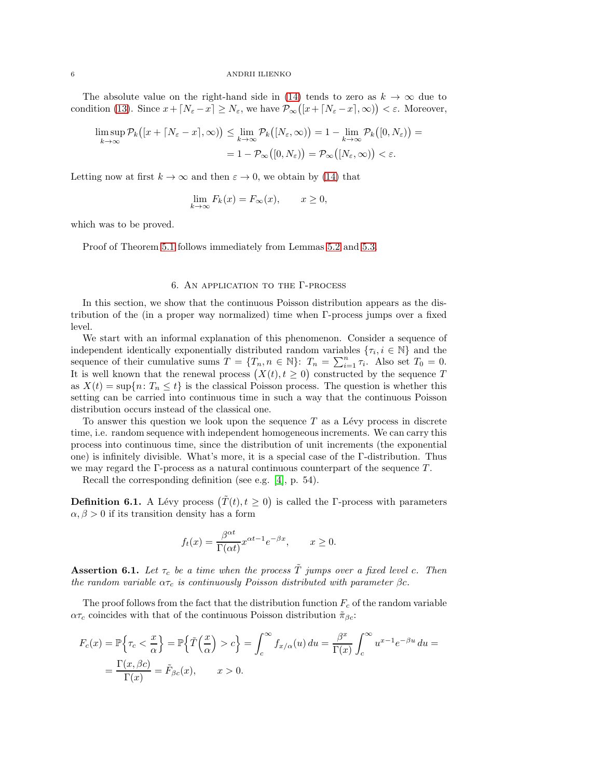### 6 ANDRII ILIENKO

The absolute value on the right-hand side in [\(14\)](#page-4-5) tends to zero as  $k \to \infty$  due to condition [\(13\)](#page-4-6). Since  $x + \lceil N_{\varepsilon} - x \rceil \ge N_{\varepsilon}$ , we have  $\mathcal{P}_{\infty}([x + \lceil N_{\varepsilon} - x \rceil, \infty)) < \varepsilon$ . Moreover,

$$
\limsup_{k \to \infty} \mathcal{P}_k([x + \lceil N_{\varepsilon} - x \rceil, \infty)) \le \lim_{k \to \infty} \mathcal{P}_k([N_{\varepsilon}, \infty)) = 1 - \lim_{k \to \infty} \mathcal{P}_k([0, N_{\varepsilon})) =
$$
  
= 1 -  $\mathcal{P}_{\infty}([0, N_{\varepsilon})) = \mathcal{P}_{\infty}([N_{\varepsilon}, \infty)) < \varepsilon.$ 

Letting now at first  $k \to \infty$  and then  $\varepsilon \to 0$ , we obtain by [\(14\)](#page-4-5) that

$$
\lim_{k \to \infty} F_k(x) = F_{\infty}(x), \qquad x \ge 0,
$$

which was to be proved.

Proof of Theorem [5.1](#page-4-2) follows immediately from Lemmas [5.2](#page-4-7) and [5.3.](#page-4-4)

## 6. An application to the Γ-process

In this section, we show that the continuous Poisson distribution appears as the distribution of the (in a proper way normalized) time when Γ-process jumps over a fixed level.

We start with an informal explanation of this phenomenon. Consider a sequence of independent identically exponentially distributed random variables  $\{\tau_i, i \in \mathbb{N}\}\$  and the sequence of their cumulative sums  $T = \{T_n, n \in \mathbb{N}\}\colon T_n = \sum_{i=1}^n \tau_i$ . Also set  $T_0 = 0$ . It is well known that the renewal process  $(X(t), t \geq 0)$  constructed by the sequence T as  $X(t) = \sup\{n : T_n \leq t\}$  is the classical Poisson process. The question is whether this setting can be carried into continuous time in such a way that the continuous Poisson distribution occurs instead of the classical one.

To answer this question we look upon the sequence  $T$  as a Lévy process in discrete time, i.e. random sequence with independent homogeneous increments. We can carry this process into continuous time, since the distribution of unit increments (the exponential one) is infinitely divisible. What's more, it is a special case of the Γ-distribution. Thus we may regard the  $\Gamma$ -process as a natural continuous counterpart of the sequence  $T$ .

Recall the corresponding definition (see e.g. [\[4\]](#page-6-13), p. 54).

**Definition 6.1.** A Lévy process  $(\tilde{T}(t), t \geq 0)$  is called the Γ-process with parameters  $\alpha, \beta > 0$  if its transition density has a form

$$
f_t(x) = \frac{\beta^{\alpha t}}{\Gamma(\alpha t)} x^{\alpha t - 1} e^{-\beta x}, \qquad x \ge 0.
$$

**Assertion 6.1.** Let  $\tau_c$  be a time when the process  $\tilde{T}$  jumps over a fixed level c. Then the random variable  $\alpha \tau_c$  is continuously Poisson distributed with parameter  $\beta c$ .

The proof follows from the fact that the distribution function  $F_c$  of the random variable  $\alpha\tau_c$  coincides with that of the continuous Poisson distribution  $\tilde{\pi}_{\beta c}$ :

$$
F_c(x) = \mathbb{P}\left\{\tau_c < \frac{x}{\alpha}\right\} = \mathbb{P}\left\{\tilde{T}\left(\frac{x}{\alpha}\right) > c\right\} = \int_c^\infty f_{x/\alpha}(u) \, du = \frac{\beta^x}{\Gamma(x)} \int_c^\infty u^{x-1} e^{-\beta u} \, du = \frac{\Gamma(x, \beta c)}{\Gamma(x)} = \tilde{F}_{\beta c}(x), \qquad x > 0.
$$